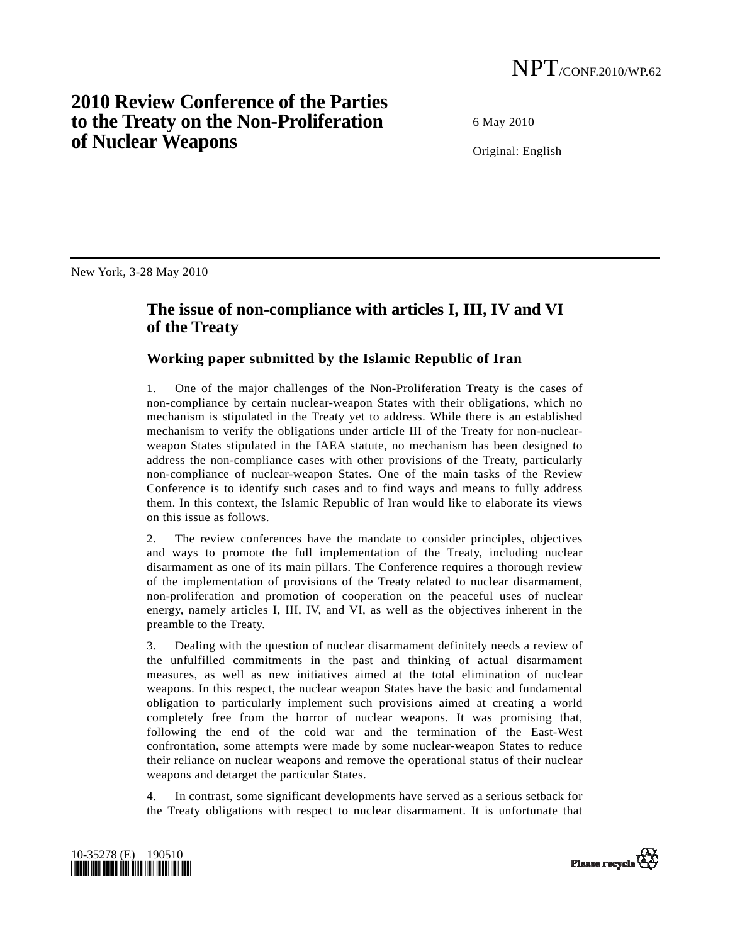## **2010 Review Conference of the Parties to the Treaty on the Non-Proliferation of Nuclear Weapons**

6 May 2010

Original: English

New York, 3-28 May 2010

## **The issue of non-compliance with articles I, III, IV and VI of the Treaty**

## **Working paper submitted by the Islamic Republic of Iran**

1. One of the major challenges of the Non-Proliferation Treaty is the cases of non-compliance by certain nuclear-weapon States with their obligations, which no mechanism is stipulated in the Treaty yet to address. While there is an established mechanism to verify the obligations under article III of the Treaty for non-nuclearweapon States stipulated in the IAEA statute, no mechanism has been designed to address the non-compliance cases with other provisions of the Treaty, particularly non-compliance of nuclear-weapon States. One of the main tasks of the Review Conference is to identify such cases and to find ways and means to fully address them. In this context, the Islamic Republic of Iran would like to elaborate its views on this issue as follows.

2. The review conferences have the mandate to consider principles, objectives and ways to promote the full implementation of the Treaty, including nuclear disarmament as one of its main pillars. The Conference requires a thorough review of the implementation of provisions of the Treaty related to nuclear disarmament, non-proliferation and promotion of cooperation on the peaceful uses of nuclear energy, namely articles I, III, IV, and VI, as well as the objectives inherent in the preamble to the Treaty.

3. Dealing with the question of nuclear disarmament definitely needs a review of the unfulfilled commitments in the past and thinking of actual disarmament measures, as well as new initiatives aimed at the total elimination of nuclear weapons. In this respect, the nuclear weapon States have the basic and fundamental obligation to particularly implement such provisions aimed at creating a world completely free from the horror of nuclear weapons. It was promising that, following the end of the cold war and the termination of the East-West confrontation, some attempts were made by some nuclear-weapon States to reduce their reliance on nuclear weapons and remove the operational status of their nuclear weapons and detarget the particular States.

4. In contrast, some significant developments have served as a serious setback for the Treaty obligations with respect to nuclear disarmament. It is unfortunate that



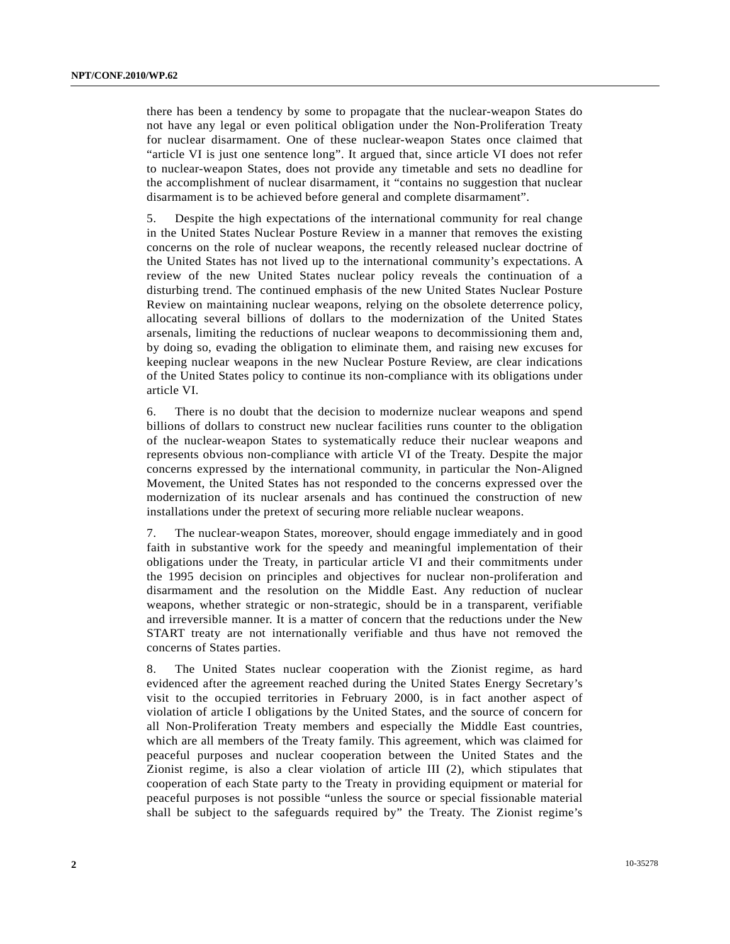there has been a tendency by some to propagate that the nuclear-weapon States do not have any legal or even political obligation under the Non-Proliferation Treaty for nuclear disarmament. One of these nuclear-weapon States once claimed that "article VI is just one sentence long". It argued that, since article VI does not refer to nuclear-weapon States, does not provide any timetable and sets no deadline for the accomplishment of nuclear disarmament, it "contains no suggestion that nuclear disarmament is to be achieved before general and complete disarmament".

5. Despite the high expectations of the international community for real change in the United States Nuclear Posture Review in a manner that removes the existing concerns on the role of nuclear weapons, the recently released nuclear doctrine of the United States has not lived up to the international community's expectations. A review of the new United States nuclear policy reveals the continuation of a disturbing trend. The continued emphasis of the new United States Nuclear Posture Review on maintaining nuclear weapons, relying on the obsolete deterrence policy, allocating several billions of dollars to the modernization of the United States arsenals, limiting the reductions of nuclear weapons to decommissioning them and, by doing so, evading the obligation to eliminate them, and raising new excuses for keeping nuclear weapons in the new Nuclear Posture Review, are clear indications of the United States policy to continue its non-compliance with its obligations under article VI.

6. There is no doubt that the decision to modernize nuclear weapons and spend billions of dollars to construct new nuclear facilities runs counter to the obligation of the nuclear-weapon States to systematically reduce their nuclear weapons and represents obvious non-compliance with article VI of the Treaty. Despite the major concerns expressed by the international community, in particular the Non-Aligned Movement, the United States has not responded to the concerns expressed over the modernization of its nuclear arsenals and has continued the construction of new installations under the pretext of securing more reliable nuclear weapons.

7. The nuclear-weapon States, moreover, should engage immediately and in good faith in substantive work for the speedy and meaningful implementation of their obligations under the Treaty, in particular article VI and their commitments under the 1995 decision on principles and objectives for nuclear non-proliferation and disarmament and the resolution on the Middle East. Any reduction of nuclear weapons, whether strategic or non-strategic, should be in a transparent, verifiable and irreversible manner. It is a matter of concern that the reductions under the New START treaty are not internationally verifiable and thus have not removed the concerns of States parties.

8. The United States nuclear cooperation with the Zionist regime, as hard evidenced after the agreement reached during the United States Energy Secretary's visit to the occupied territories in February 2000, is in fact another aspect of violation of article I obligations by the United States, and the source of concern for all Non-Proliferation Treaty members and especially the Middle East countries, which are all members of the Treaty family. This agreement, which was claimed for peaceful purposes and nuclear cooperation between the United States and the Zionist regime, is also a clear violation of article III (2), which stipulates that cooperation of each State party to the Treaty in providing equipment or material for peaceful purposes is not possible "unless the source or special fissionable material shall be subject to the safeguards required by" the Treaty. The Zionist regime's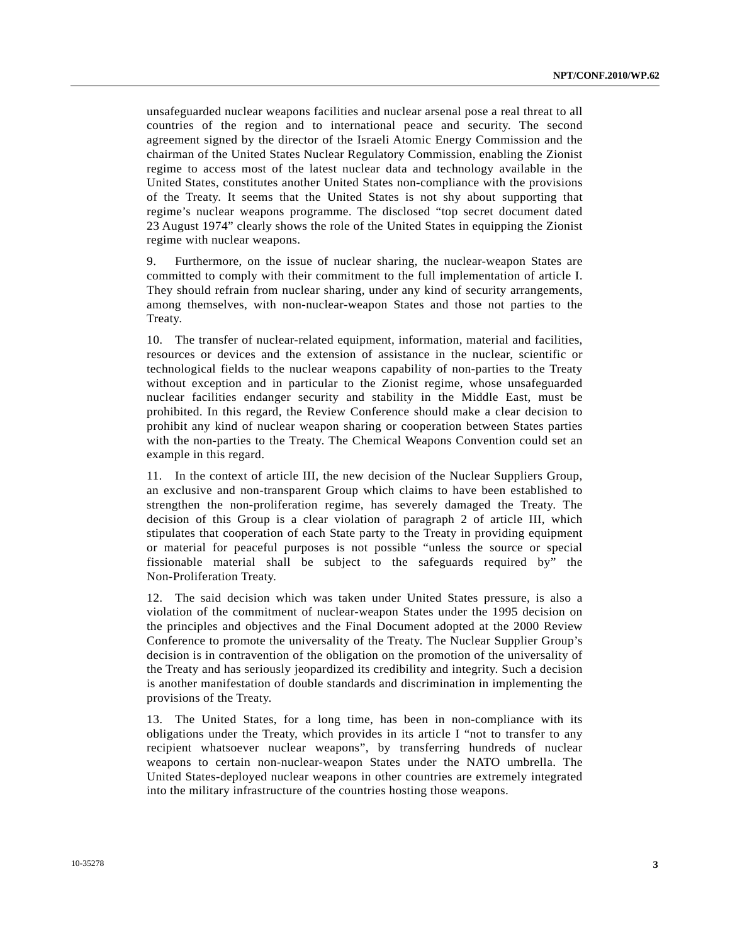unsafeguarded nuclear weapons facilities and nuclear arsenal pose a real threat to all countries of the region and to international peace and security. The second agreement signed by the director of the Israeli Atomic Energy Commission and the chairman of the United States Nuclear Regulatory Commission, enabling the Zionist regime to access most of the latest nuclear data and technology available in the United States, constitutes another United States non-compliance with the provisions of the Treaty. It seems that the United States is not shy about supporting that regime's nuclear weapons programme. The disclosed "top secret document dated 23 August 1974" clearly shows the role of the United States in equipping the Zionist regime with nuclear weapons.

9. Furthermore, on the issue of nuclear sharing, the nuclear-weapon States are committed to comply with their commitment to the full implementation of article I. They should refrain from nuclear sharing, under any kind of security arrangements, among themselves, with non-nuclear-weapon States and those not parties to the Treaty.

10. The transfer of nuclear-related equipment, information, material and facilities, resources or devices and the extension of assistance in the nuclear, scientific or technological fields to the nuclear weapons capability of non-parties to the Treaty without exception and in particular to the Zionist regime, whose unsafeguarded nuclear facilities endanger security and stability in the Middle East, must be prohibited. In this regard, the Review Conference should make a clear decision to prohibit any kind of nuclear weapon sharing or cooperation between States parties with the non-parties to the Treaty. The Chemical Weapons Convention could set an example in this regard.

11. In the context of article III, the new decision of the Nuclear Suppliers Group, an exclusive and non-transparent Group which claims to have been established to strengthen the non-proliferation regime, has severely damaged the Treaty. The decision of this Group is a clear violation of paragraph 2 of article III, which stipulates that cooperation of each State party to the Treaty in providing equipment or material for peaceful purposes is not possible "unless the source or special fissionable material shall be subject to the safeguards required by" the Non-Proliferation Treaty.

12. The said decision which was taken under United States pressure, is also a violation of the commitment of nuclear-weapon States under the 1995 decision on the principles and objectives and the Final Document adopted at the 2000 Review Conference to promote the universality of the Treaty. The Nuclear Supplier Group's decision is in contravention of the obligation on the promotion of the universality of the Treaty and has seriously jeopardized its credibility and integrity. Such a decision is another manifestation of double standards and discrimination in implementing the provisions of the Treaty.

13. The United States, for a long time, has been in non-compliance with its obligations under the Treaty, which provides in its article I "not to transfer to any recipient whatsoever nuclear weapons", by transferring hundreds of nuclear weapons to certain non-nuclear-weapon States under the NATO umbrella. The United States-deployed nuclear weapons in other countries are extremely integrated into the military infrastructure of the countries hosting those weapons.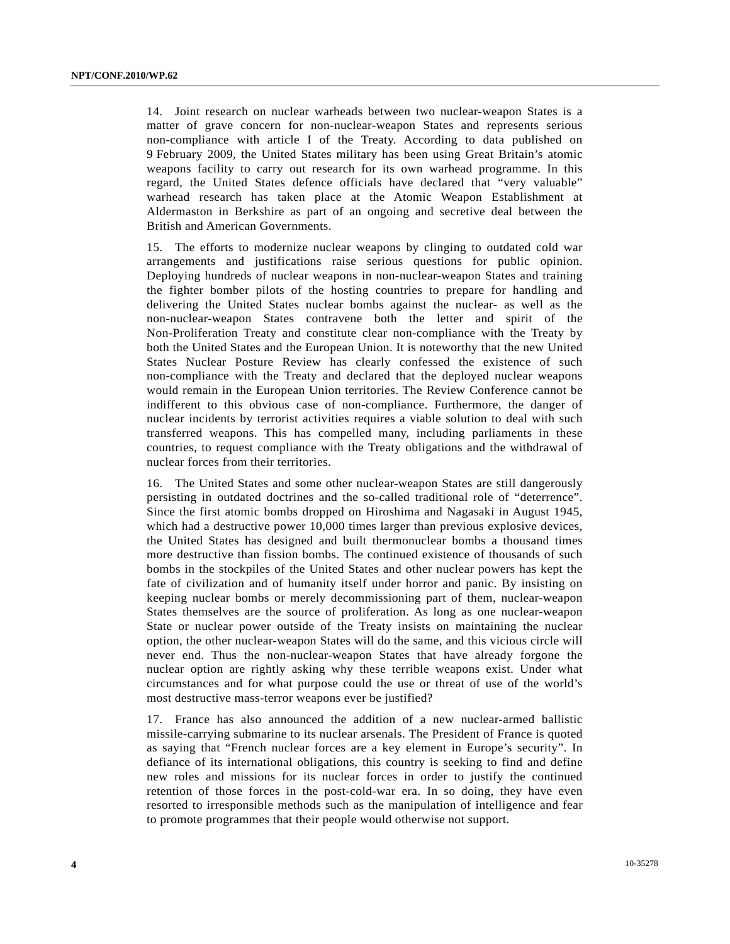14. Joint research on nuclear warheads between two nuclear-weapon States is a matter of grave concern for non-nuclear-weapon States and represents serious non-compliance with article I of the Treaty. According to data published on 9 February 2009, the United States military has been using Great Britain's atomic weapons facility to carry out research for its own warhead programme. In this regard, the United States defence officials have declared that "very valuable" warhead research has taken place at the Atomic Weapon Establishment at Aldermaston in Berkshire as part of an ongoing and secretive deal between the British and American Governments.

15. The efforts to modernize nuclear weapons by clinging to outdated cold war arrangements and justifications raise serious questions for public opinion. Deploying hundreds of nuclear weapons in non-nuclear-weapon States and training the fighter bomber pilots of the hosting countries to prepare for handling and delivering the United States nuclear bombs against the nuclear- as well as the non-nuclear-weapon States contravene both the letter and spirit of the Non-Proliferation Treaty and constitute clear non-compliance with the Treaty by both the United States and the European Union. It is noteworthy that the new United States Nuclear Posture Review has clearly confessed the existence of such non-compliance with the Treaty and declared that the deployed nuclear weapons would remain in the European Union territories. The Review Conference cannot be indifferent to this obvious case of non-compliance. Furthermore, the danger of nuclear incidents by terrorist activities requires a viable solution to deal with such transferred weapons. This has compelled many, including parliaments in these countries, to request compliance with the Treaty obligations and the withdrawal of nuclear forces from their territories.

16. The United States and some other nuclear-weapon States are still dangerously persisting in outdated doctrines and the so-called traditional role of "deterrence". Since the first atomic bombs dropped on Hiroshima and Nagasaki in August 1945, which had a destructive power 10,000 times larger than previous explosive devices, the United States has designed and built thermonuclear bombs a thousand times more destructive than fission bombs. The continued existence of thousands of such bombs in the stockpiles of the United States and other nuclear powers has kept the fate of civilization and of humanity itself under horror and panic. By insisting on keeping nuclear bombs or merely decommissioning part of them, nuclear-weapon States themselves are the source of proliferation. As long as one nuclear-weapon State or nuclear power outside of the Treaty insists on maintaining the nuclear option, the other nuclear-weapon States will do the same, and this vicious circle will never end. Thus the non-nuclear-weapon States that have already forgone the nuclear option are rightly asking why these terrible weapons exist. Under what circumstances and for what purpose could the use or threat of use of the world's most destructive mass-terror weapons ever be justified?

17. France has also announced the addition of a new nuclear-armed ballistic missile-carrying submarine to its nuclear arsenals. The President of France is quoted as saying that "French nuclear forces are a key element in Europe's security". In defiance of its international obligations, this country is seeking to find and define new roles and missions for its nuclear forces in order to justify the continued retention of those forces in the post-cold-war era. In so doing, they have even resorted to irresponsible methods such as the manipulation of intelligence and fear to promote programmes that their people would otherwise not support.